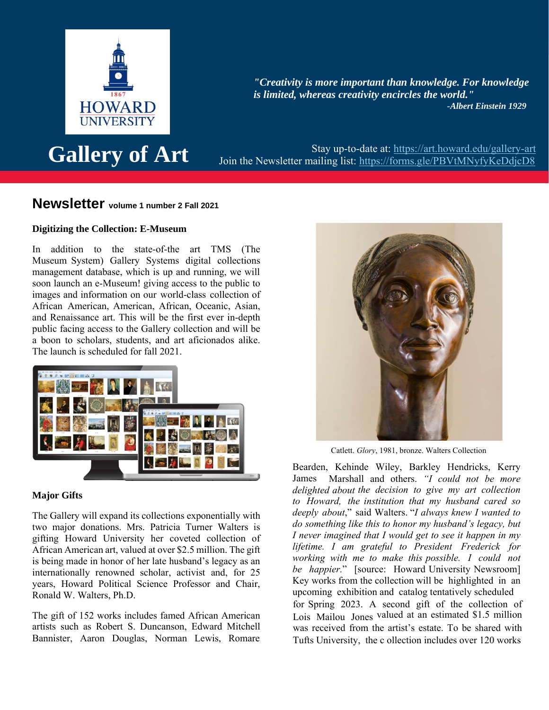

*"Creativity is more important than knowledge. For knowledge is limited, whereas creativity encircles the world." -Albert Einstein 1929*

Stay up-to-date at:<https://art.howard.edu/gallery-art><br> **Gallery of Art** Join the Newsletter mailing list:<https://forms.gle/PBVtMNyfyKeDdjcD8>

# **Newsletter volume 1 number 2 Fall 2021**

# **Digitizing the Collection: E-Museum**

In addition to the state-of-the art TMS (The Museum System) Gallery Systems digital collections management database, which is up and running, we will soon launch an e-Museum! giving access to the public to images and information on our world-class collection of African American, American, African, Oceanic, Asian, and Renaissance art. This will be the first ever in-depth public facing access to the Gallery collection and will be a boon to scholars, students, and art aficionados alike. The launch is scheduled for fall 2021.



# **Major Gifts**

The Gallery will expand its collections exponentially with two major donations. Mrs. Patricia Turner Walters is gifting Howard University her coveted collection of African American art, valued at over \$2.5 million. The gift is being made in honor of her late husband's legacy as an internationally renowned scholar, activist and, for 25 years, Howard Political Science Professor and Chair, Ronald W. Walters, Ph.D.

The gift of 152 works includes famed African American artists such as Robert S. Duncanson, Edward Mitchell Bannister, Aaron Douglas, Norman Lewis, Romare



Catlett. *Glory*, 1981, bronze. Walters Collection

Bearden, Kehinde Wiley, Barkley Hendricks, Kerry James Marshall and others. *"I could not be more delighted about the decision to give my art collection to Howard, the institution that my husband cared so deeply about*," said Walters. "*I always knew I wanted to do something like this to honor my husband's legacy, but I never imagined that I would get to see it happen in my lifetime. I am grateful to President Frederick for working with me to make this possible. I could not be happier.*" [source: Howard University Newsroom] Key works from the collection will be highlighted in an upcoming exhibition and catalog tentatively scheduled for Spring 2023. A second gift of the collection of Lois Mailou Jones valued at an estimated \$1.5 million was received from the artist's estate. To be shared with Tufts University, the c ollection includes over 120 works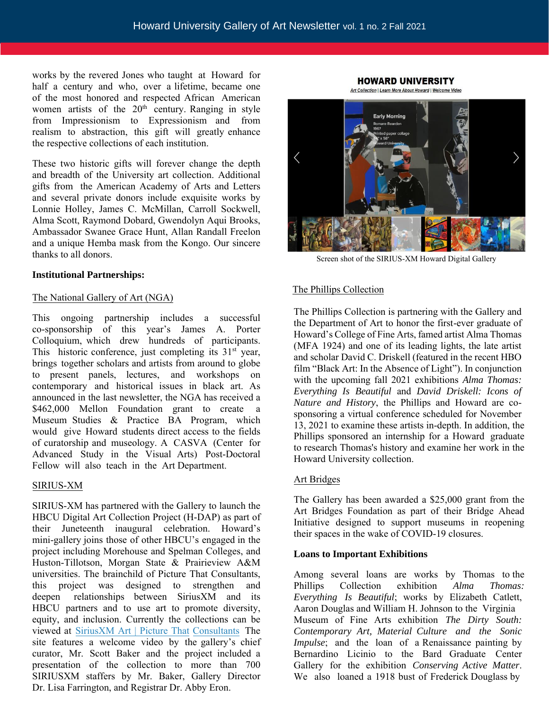works by the revered Jones who taught at Howard for half a century and who, over a lifetime, became one of the most honored and respected African American women artists of the  $20<sup>th</sup>$  century. Ranging in style from Impressionism to Expressionism and from realism to abstraction, this gift will greatly enhance the respective collections of each institution.

These two historic gifts will forever change the depth and breadth of the University art collection. Additional gifts from the American Academy of Arts and Letters and several private donors include exquisite works by Lonnie Holley, James C. McMillan, Carroll Sockwell, Alma Scott, Raymond Dobard, Gwendolyn Aqui Brooks, Ambassador Swanee Grace Hunt, Allan Randall Freelon and a unique Hemba mask from the Kongo. Our sincere thanks to all donors.

#### **Institutional Partnerships:**

### The National Gallery of Art (NGA)

This ongoing partnership includes a successful co-sponsorship of this year's James A. Porter Colloquium, which drew hundreds of participants. This historic conference, just completing its  $31<sup>st</sup>$  year, brings together scholars and artists from around to globe to present panels, lectures, and workshops on contemporary and historical issues in black art. As announced in the last newsletter, the NGA has received a \$462,000 Mellon Foundation grant to create a Museum Studies & Practice BA Program, which would give Howard students direct access to the fields of curatorship and museology. A CASVA (Center for Advanced Study in the Visual Arts) Post-Doctoral Fellow will also teach in the Art Department.

### SIRIUS-XM

SIRIUS-XM has partnered with the Gallery to launch the HBCU Digital Art Collection Project (H-DAP) as part of their Juneteenth inaugural celebration. Howard's mini-gallery joins those of other HBCU's engaged in the project including Morehous[e and Spelman Colleges, and](https://www.picturethatconsultants.com/sxmjuneteenthart)  [Huston-Tillo](https://www.picturethatconsultants.com/sxmjuneteenthart)tson, Morgan State & Prairieview A&M universities. The brainchild of Picture That Consultants, this project was designed to strengthen and deepen relationships between SiriusXM and its HBCU partners and to use art to promote diversity, equity, and inclusion. Currently the collections can be viewed at SiriusXM Art | Picture That Consultants The site features a welcome video by the gallery's chief curator, Mr. Scott Baker and the project included a presentation of the collection to more than 700 SIRIUSXM staffers by Mr. Baker, Gallery Director Dr. Lisa Farrington, and Registrar Dr. Abby Eron.

**Early Morning** 

**HOWARD UNIVERSITY** Art Collection | Learn More About Howard | Welcome Video

Screen shot of the SIRIUS-XM Howard Digital Gallery

### The Phillips Collection

The Phillips Collection is partnering with the Gallery and the Department of Art to honor the first-ever graduate of Howard's College of Fine Arts, famed artist Alma Thomas (MFA 1924) and one of its leading lights, the late artist and scholar David C. Driskell (featured in the recent HBO film "Black Art: In the Absence of Light"). In conjunction with the upcoming fall 2021 exhibitions *Alma Thomas: Everything Is Beautiful* and *David Driskell: Icons of Nature and History*, the Phillips and Howard are cosponsoring a virtual conference scheduled for November 13, 2021 to examine these artists in-depth. In addition, the Phillips sponsored an internship for a Howard graduate to research Thomas's history and examine her work in the Howard University collection.

#### Art Bridges

The Gallery has been awarded a \$25,000 grant from the Art Bridges Foundation as part of their Bridge Ahead Initiative designed to support museums in reopening their spaces in the wake of COVID-19 closures.

#### **Loans to Important Exhibitions**

Among several loans are works by Thomas to the Phillips Collection exhibition *Alma Thomas: Everything Is Beautiful*; works by Elizabeth Catlett, Aaron Douglas and William H. Johnson to the Virginia Museum of Fine Arts exhibition *The Dirty South: Contemporary Art, Material Culture and the Sonic Impulse*; and the loan of a Renaissance painting by Bernardino Licinio to the Bard Graduate Center Gallery for the exhibition *Conserving Active Matter*. We also loaned a 1918 bust of Frederick Douglass by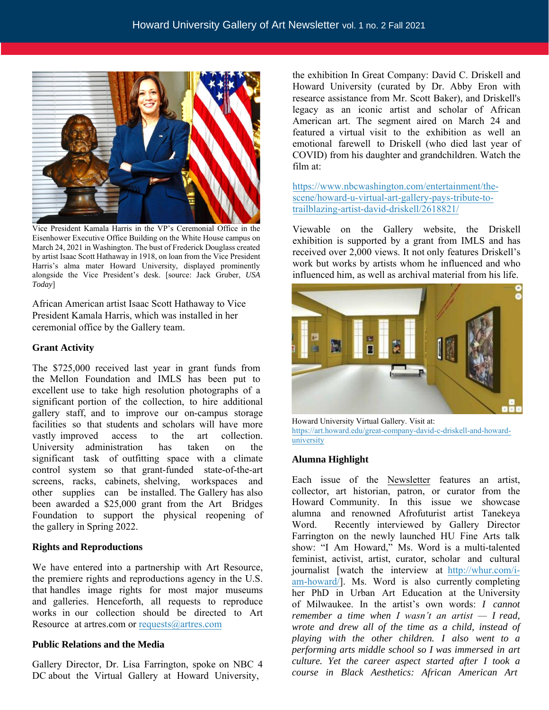

Vice President Kamala Harris in the VP's Ceremonial Office in the Eisenhower Executive Office Building on the White House campus on March 24, 2021 in Washington. The bust of Frederick Douglass created by artist Isaac Scott Hathaway in 1918, on loan from the Vice President Harris's alma mater Howard University, displayed prominently alongside the Vice President's desk. [source: Jack Gruber, *USA Today*]

African American artist Isaac Scott Hathaway to Vice President Kamala Harris, which was installed in her ceremonial office by the Gallery team.

### **Grant Activity**

The \$725,000 received last year in grant funds from the Mellon Foundation and IMLS has been put to excellent use to take high resolution photographs of a significant portion of the collection, to hire additional gallery staff, and to improve our on-campus storage facilities so that students and scholars will have more vastly improved access to the art collection. University administration has taken on the significant task of outfitting space with a climate control system so that grant-funded state-of-the-art screens, racks, cabinets, shelving, workspaces and other supplies can be installed. The Gallery has also been awarded a \$25,000 grant from the Art Bridges Foundation to support the physical reopening of the gallery in Spring 2022.

# **Rights and [Reproductions](mailto:requests@artres.com)**

We have entered into a partnership with Art Resource, the premiere rights and reproductions agency in the U.S. that handles image rights for most major museums and galleries. Henceforth, all requests to reproduce works in our collection should be directed to Art Resource at artres.com or requests $@$ artres.com

### **Public Relations and the Media**

Gallery Director, Dr. Lisa Farrington, spoke on NBC 4 DC about the Virtual Gallery at Howard University,

the exhibition In Great Company: David C. Driskell and Howard University (curated by Dr. Abby Eron with researce assistance from Mr. Scott Baker), and Driskell's legacy as an iconic artist and scholar of African American art. The segment aired on March 24 and featured a virtual visit to the exhibition as well an [emotional farewell to Driskell \(who died last year of](https://www.nbcwashington.com/entertainment/the-scene/howard-u-virtual-art-gallery-pays-tribute-to-trailblazing-artist-david-driskell/2618821/)  [COVID\) from his daughter and grandchildren. Watch the](https://www.nbcwashington.com/entertainment/the-scene/howard-u-virtual-art-gallery-pays-tribute-to-trailblazing-artist-david-driskell/2618821/)  film at:

https://www.nbcwashington.com/entertainment/thescene/howard-u-virtual-art-gallery-pays-tribute-totrailblazing-artist-david-driskell/2618821/

Viewable on the Gallery website, the Driskell exhibition is supported by a grant from IMLS and has received over 2,000 views. It not only features Driskell's work but works by artists whom he influenced and who influenced him, as well as archival material from his life.



Howard University Virtual Gallery. Visit at: https://art.howard.edu/great-company-david-c-driskell-and-howarduniversity

### **Alumna Highlight**

Each issue of the Newsletter features an artist, collector, art historian, patron, or curator from the Howard Community. In this issue we showcase alumna and renowned Afrofuturist artist Tanekeya Word. Recently interviewed by Gallery Director [Farrington on the newly laun](http://whur.com/i-am-howard/)ched HU Fine Arts talk show: "I Am Howard," Ms. Word is a multi-talented feminist, activist, artist, curator, scholar and cultural journalist [watch the interview at http://whur.com/iam-howard/]. Ms. Word is also currently completing her PhD in Urban Art Education at the University of Milwaukee. In the artist's own words: *I cannot remember a time when I wasn't an artist — I read, wrote and drew all of the time as a child, instead of playing with the other children. I also went to a performing arts middle school so I was immersed in art culture. Yet the career aspect started after I took a course in Black Aesthetics: African American Art*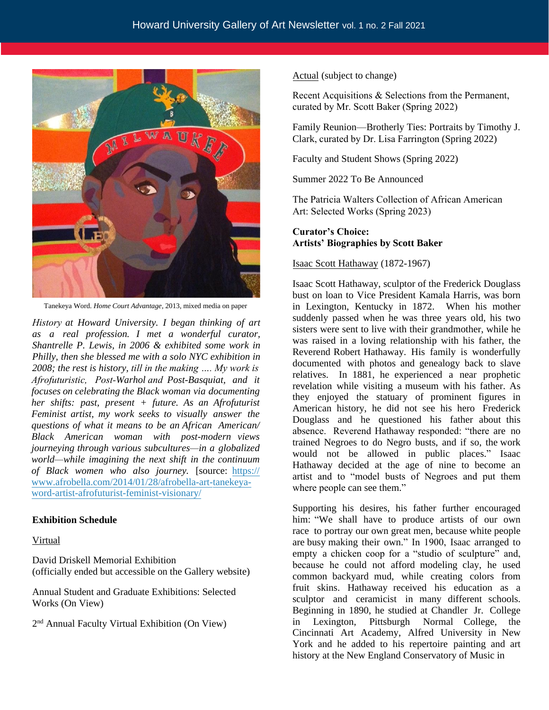

Tanekeya Word. *Home Court Advantage*, 2013, mixed media on paper

*History at Howard University. I began thinking of art as a real profession. I met a wonderful curator, Shantrelle P. Lewis, in 2006 & exhibited some work in Philly, then she blessed me with a solo NYC exhibition in 2008; the rest is history, till in the making …. My work is Afrofuturistic, Post-Warhol and Post-Basquiat, and it focuses on celebrating the Black woman via documenting her shifts: past, present + future. As an Afrofuturist Feminist artist, my work seeks to visually answer the questions of what it means to be an African American/ Black American woman with post-modern views journeying through various subcultures—in a globalized world—while imagining the next shift in the continuum [of Black women who also journey.](https://www.afrobella.com/2014/01/28/afrobella-art-tanekeya-word-artist-afrofuturist-feminist-visionary/)* [source: https:// [www.afrobella.com/2014/01/28/afrobella-art-tanekey](https://www.afrobella.com/2014/01/28/afrobella-art-tanekeya-word-artist-afrofuturist-feminist-visionary/)aword-artist-afrofuturist-feminist-visionary/

# **Exhibition Schedule**

### Virtual

David Driskell Memorial Exhibition (officially ended but accessible on the Gallery website)

Annual Student and Graduate Exhibitions: Selected Works (On View)

2<sup>nd</sup> Annual Faculty Virtual Exhibition (On View)

Actual (subject to change)

Recent Acquisitions & Selections from the Permanent, curated by Mr. Scott Baker (Spring 2022)

Family Reunion—Brotherly Ties: Portraits by Timothy J. Clark, curated by Dr. Lisa Farrington (Spring 2022)

Faculty and Student Shows (Spring 2022)

Summer 2022 To Be Announced

The Patricia Walters Collection of African American Art: Selected Works (Spring 2023)

# **Curator's Choice: Artists' Biographies by Scott Baker**

# Isaac Scott Hathaway (1872-1967)

Isaac Scott Hathaway, sculptor of the Frederick Douglass bust on loan to Vice President Kamala Harris, was born in Lexington, Kentucky in 1872. When his mother suddenly passed when he was three years old, his two sisters were sent to live with their grandmother, while he was raised in a loving relationship with his father, the Reverend Robert Hathaway. His family is wonderfully documented with photos and genealogy back to slave relatives. In 1881, he experienced a near prophetic revelation while visiting a museum with his father. As they enjoyed the statuary of prominent figures in American history, he did not see his hero Frederick Douglass and he questioned his father about this absence. Reverend Hathaway responded: "there are no trained Negroes to do Negro busts, and if so, the work would not be allowed in public places." Isaac Hathaway decided at the age of nine to become an artist and to "model busts of Negroes and put them where people can see them."

Supporting his desires, his father further encouraged him: "We shall have to produce artists of our own race to portray our own great men, because white people are busy making their own." In 1900, Isaac arranged to empty a chicken coop for a "studio of sculpture" and, because he could not afford modeling clay, he used common backyard mud, while creating colors from fruit skins. Hathaway received his education as a sculptor and ceramicist in many different schools. Beginning in 1890, he studied at Chandler Jr. College in Lexington, Pittsburgh Normal College, the Cincinnati Art Academy, Alfred University in New York and he added to his repertoire painting and art history at the New England Conservatory of Music in